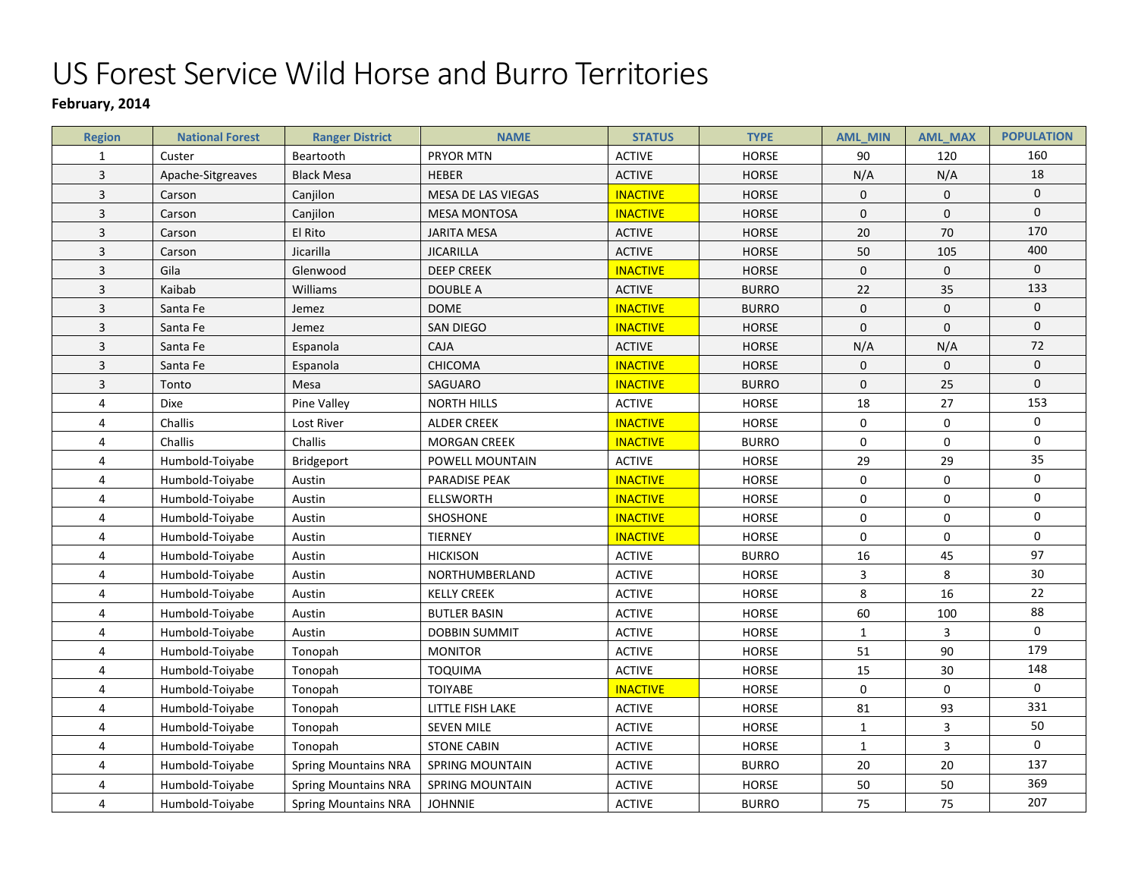## US Forest Service Wild Horse and Burro Territories

## **February, 2014**

| <b>Region</b>           | <b>National Forest</b> | <b>Ranger District</b>      | <b>NAME</b>            | <b>STATUS</b>   | <b>TYPE</b>  | <b>AML_MIN</b> | <b>AML_MAX</b>   | <b>POPULATION</b> |
|-------------------------|------------------------|-----------------------------|------------------------|-----------------|--------------|----------------|------------------|-------------------|
| $\mathbf{1}$            | Custer                 | Beartooth                   | PRYOR MTN              | <b>ACTIVE</b>   | <b>HORSE</b> | 90             | 120              | 160               |
| $\overline{\mathbf{3}}$ | Apache-Sitgreaves      | <b>Black Mesa</b>           | <b>HEBER</b>           | <b>ACTIVE</b>   | <b>HORSE</b> | N/A            | N/A              | 18                |
| $\overline{\mathbf{3}}$ | Carson                 | Canjilon                    | MESA DE LAS VIEGAS     | <b>INACTIVE</b> | <b>HORSE</b> | $\mathbf 0$    | $\mathbf 0$      | $\pmb{0}$         |
| 3                       | Carson                 | Canjilon                    | <b>MESA MONTOSA</b>    | <b>INACTIVE</b> | <b>HORSE</b> | $\mathbf{0}$   | $\mathbf{0}$     | $\mathbf 0$       |
| $\overline{\mathbf{3}}$ | Carson                 | El Rito                     | <b>JARITA MESA</b>     | <b>ACTIVE</b>   | <b>HORSE</b> | 20             | 70               | 170               |
| $\overline{3}$          | Carson                 | Jicarilla                   | <b>JICARILLA</b>       | <b>ACTIVE</b>   | <b>HORSE</b> | 50             | 105              | 400               |
| $\overline{3}$          | Gila                   | Glenwood                    | <b>DEEP CREEK</b>      | <b>INACTIVE</b> | HORSE        | $\pmb{0}$      | $\boldsymbol{0}$ | $\mathbf 0$       |
| $\overline{\mathbf{3}}$ | Kaibab                 | Williams                    | DOUBLE A               | <b>ACTIVE</b>   | <b>BURRO</b> | 22             | 35               | 133               |
| 3                       | Santa Fe               | Jemez                       | <b>DOME</b>            | <b>INACTIVE</b> | <b>BURRO</b> | $\mathbf 0$    | $\mathbf 0$      | $\mathbf 0$       |
| 3                       | Santa Fe               | Jemez                       | <b>SAN DIEGO</b>       | <b>INACTIVE</b> | <b>HORSE</b> | $\mathbf{0}$   | $\mathbf{0}$     | $\boldsymbol{0}$  |
| 3                       | Santa Fe               | Espanola                    | <b>CAJA</b>            | <b>ACTIVE</b>   | <b>HORSE</b> | N/A            | N/A              | 72                |
| 3                       | Santa Fe               | Espanola                    | <b>CHICOMA</b>         | <b>INACTIVE</b> | <b>HORSE</b> | $\mathbf 0$    | $\mathbf{0}$     | $\mathbf 0$       |
| $\overline{3}$          | Tonto                  | Mesa                        | SAGUARO                | <b>INACTIVE</b> | <b>BURRO</b> | $\pmb{0}$      | 25               | $\mathbf 0$       |
| 4                       | Dixe                   | Pine Valley                 | <b>NORTH HILLS</b>     | <b>ACTIVE</b>   | <b>HORSE</b> | 18             | 27               | 153               |
| 4                       | Challis                | Lost River                  | <b>ALDER CREEK</b>     | <b>INACTIVE</b> | <b>HORSE</b> | $\mathbf 0$    | $\mathbf 0$      | $\mathbf 0$       |
| 4                       | Challis                | Challis                     | <b>MORGAN CREEK</b>    | <b>INACTIVE</b> | <b>BURRO</b> | $\mathbf 0$    | $\mathbf 0$      | $\mathbf 0$       |
| 4                       | Humbold-Toiyabe        | <b>Bridgeport</b>           | POWELL MOUNTAIN        | <b>ACTIVE</b>   | HORSE        | 29             | 29               | 35                |
| 4                       | Humbold-Toiyabe        | Austin                      | PARADISE PEAK          | <b>INACTIVE</b> | HORSE        | $\pmb{0}$      | $\boldsymbol{0}$ | $\mathbf 0$       |
| 4                       | Humbold-Toiyabe        | Austin                      | <b>ELLSWORTH</b>       | <b>INACTIVE</b> | HORSE        | 0              | 0                | $\mathbf 0$       |
| 4                       | Humbold-Toiyabe        | Austin                      | SHOSHONE               | <b>INACTIVE</b> | HORSE        | $\mathbf 0$    | $\mathbf 0$      | $\pmb{0}$         |
| 4                       | Humbold-Toiyabe        | Austin                      | <b>TIERNEY</b>         | <b>INACTIVE</b> | HORSE        | $\mathbf 0$    | $\mathbf 0$      | $\mathbf 0$       |
| 4                       | Humbold-Toiyabe        | Austin                      | <b>HICKISON</b>        | <b>ACTIVE</b>   | <b>BURRO</b> | 16             | 45               | 97                |
| 4                       | Humbold-Toiyabe        | Austin                      | NORTHUMBERLAND         | <b>ACTIVE</b>   | <b>HORSE</b> | 3              | 8                | 30                |
| 4                       | Humbold-Toiyabe        | Austin                      | <b>KELLY CREEK</b>     | <b>ACTIVE</b>   | <b>HORSE</b> | 8              | 16               | 22                |
| 4                       | Humbold-Toiyabe        | Austin                      | <b>BUTLER BASIN</b>    | <b>ACTIVE</b>   | <b>HORSE</b> | 60             | 100              | 88                |
| 4                       | Humbold-Toiyabe        | Austin                      | <b>DOBBIN SUMMIT</b>   | <b>ACTIVE</b>   | <b>HORSE</b> | $\mathbf{1}$   | $\overline{3}$   | $\mathbf 0$       |
| 4                       | Humbold-Toiyabe        | Tonopah                     | <b>MONITOR</b>         | <b>ACTIVE</b>   | <b>HORSE</b> | 51             | 90               | 179               |
| 4                       | Humbold-Toiyabe        | Tonopah                     | <b>TOQUIMA</b>         | <b>ACTIVE</b>   | <b>HORSE</b> | 15             | 30               | 148               |
| 4                       | Humbold-Toiyabe        | Tonopah                     | <b>TOIYABE</b>         | <b>INACTIVE</b> | <b>HORSE</b> | $\mathbf 0$    | $\Omega$         | $\mathbf 0$       |
| 4                       | Humbold-Toiyabe        | Tonopah                     | LITTLE FISH LAKE       | <b>ACTIVE</b>   | HORSE        | 81             | 93               | 331               |
| 4                       | Humbold-Toiyabe        | Tonopah                     | <b>SEVEN MILE</b>      | <b>ACTIVE</b>   | <b>HORSE</b> | $\mathbf{1}$   | 3                | 50                |
| 4                       | Humbold-Toiyabe        | Tonopah                     | <b>STONE CABIN</b>     | <b>ACTIVE</b>   | <b>HORSE</b> | $\mathbf{1}$   | 3                | $\mathbf 0$       |
| 4                       | Humbold-Toiyabe        | <b>Spring Mountains NRA</b> | <b>SPRING MOUNTAIN</b> | <b>ACTIVE</b>   | <b>BURRO</b> | 20             | 20               | 137               |
| 4                       | Humbold-Toiyabe        | <b>Spring Mountains NRA</b> | <b>SPRING MOUNTAIN</b> | <b>ACTIVE</b>   | HORSE        | 50             | 50               | 369               |
| 4                       | Humbold-Toiyabe        | <b>Spring Mountains NRA</b> | <b>JOHNNIE</b>         | <b>ACTIVE</b>   | <b>BURRO</b> | 75             | 75               | 207               |